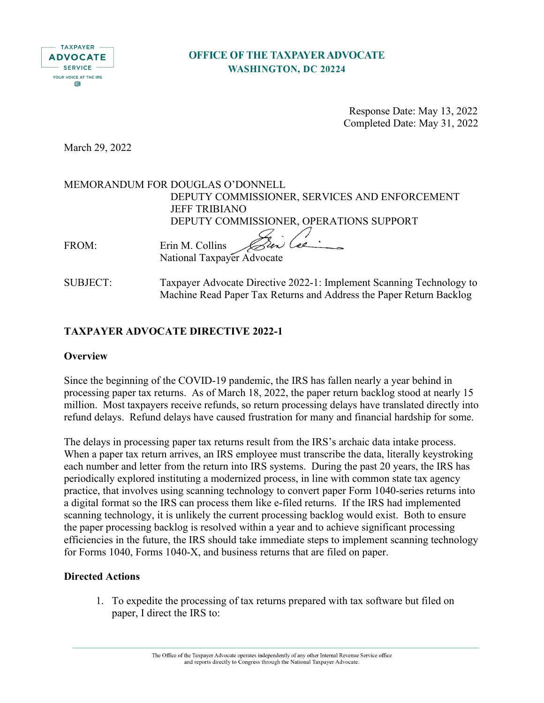

# **OFFICE OF THE TAXPAYER ADVOCATE WASHINGTON, DC 20224**

 Response Date: May 13, 2022 Completed Date: May 31, 2022

March 29, 2022

MEMORANDUM FOR DOUGLAS O'DONNELL DEPUTY COMMISSIONER, SERVICES AND ENFORCEMENT JEFF TRIBIANO DEPUTY COMMISSIONER, OPERATIONS SUPPORT ren Cae FROM: Erin M. Collins

National Taxpayer Advocate

SUBJECT: Taxpayer Advocate Directive 2022-1: Implement Scanning Technology to Machine Read Paper Tax Returns and Address the Paper Return Backlog

# **TAXPAYER ADVOCATE DIRECTIVE 2022-1**

### **Overview**

Since the beginning of the COVID-19 pandemic, the IRS has fallen nearly a year behind in processing paper tax returns. As of March 18, 2022, the paper return backlog stood at nearly 15 million. Most taxpayers receive refunds, so return processing delays have translated directly into refund delays. Refund delays have caused frustration for many and financial hardship for some.

The delays in processing paper tax returns result from the IRS's archaic data intake process. When a paper tax return arrives, an IRS employee must transcribe the data, literally keystroking each number and letter from the return into IRS systems. During the past 20 years, the IRS has periodically explored instituting a modernized process, in line with common state tax agency practice, that involves using scanning technology to convert paper Form 1040-series returns into a digital format so the IRS can process them like e-filed returns. If the IRS had implemented scanning technology, it is unlikely the current processing backlog would exist. Both to ensure the paper processing backlog is resolved within a year and to achieve significant processing efficiencies in the future, the IRS should take immediate steps to implement scanning technology for Forms 1040, Forms 1040-X, and business returns that are filed on paper.

### **Directed Actions**

1. To expedite the processing of tax returns prepared with tax software but filed on paper, I direct the IRS to: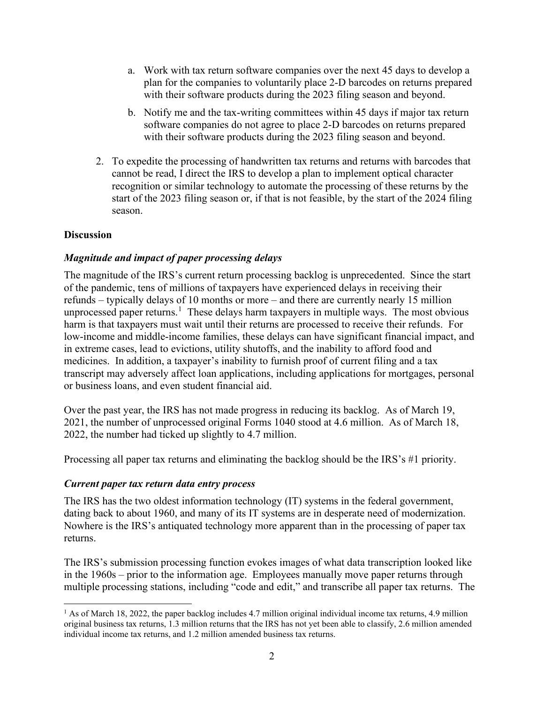- a. Work with tax return software companies over the next 45 days to develop a plan for the companies to voluntarily place 2-D barcodes on returns prepared with their software products during the 2023 filing season and beyond.
- b. Notify me and the tax-writing committees within 45 days if major tax return software companies do not agree to place 2-D barcodes on returns prepared with their software products during the 2023 filing season and beyond.
- 2. To expedite the processing of handwritten tax returns and returns with barcodes that cannot be read, I direct the IRS to develop a plan to implement optical character recognition or similar technology to automate the processing of these returns by the start of the 2023 filing season or, if that is not feasible, by the start of the 2024 filing season.

#### **Discussion**

### *Magnitude and impact of paper processing delays*

The magnitude of the IRS's current return processing backlog is unprecedented. Since the start of the pandemic, tens of millions of taxpayers have experienced delays in receiving their refunds – typically delays of 10 months or more – and there are currently nearly 15 million unprocessed paper returns.<sup>[1](#page-1-0)</sup> These delays harm taxpayers in multiple ways. The most obvious harm is that taxpayers must wait until their returns are processed to receive their refunds. For low-income and middle-income families, these delays can have significant financial impact, and in extreme cases, lead to evictions, utility shutoffs, and the inability to afford food and medicines. In addition, a taxpayer's inability to furnish proof of current filing and a tax transcript may adversely affect loan applications, including applications for mortgages, personal or business loans, and even student financial aid.

Over the past year, the IRS has not made progress in reducing its backlog. As of March 19, 2021, the number of unprocessed original Forms 1040 stood at 4.6 million. As of March 18, 2022, the number had ticked up slightly to 4.7 million.

Processing all paper tax returns and eliminating the backlog should be the IRS's #1 priority.

#### *Current paper tax return data entry process*

The IRS has the two oldest information technology (IT) systems in the federal government, dating back to about 1960, and many of its IT systems are in desperate need of modernization. Nowhere is the IRS's antiquated technology more apparent than in the processing of paper tax returns.

The IRS's submission processing function evokes images of what data transcription looked like in the 1960s – prior to the information age. Employees manually move paper returns through multiple processing stations, including "code and edit," and transcribe all paper tax returns. The

<span id="page-1-0"></span><sup>&</sup>lt;sup>1</sup> As of March 18, 2022, the paper backlog includes 4.7 million original individual income tax returns, 4.9 million original business tax returns, 1.3 million returns that the IRS has not yet been able to classify, 2.6 million amended individual income tax returns, and 1.2 million amended business tax returns.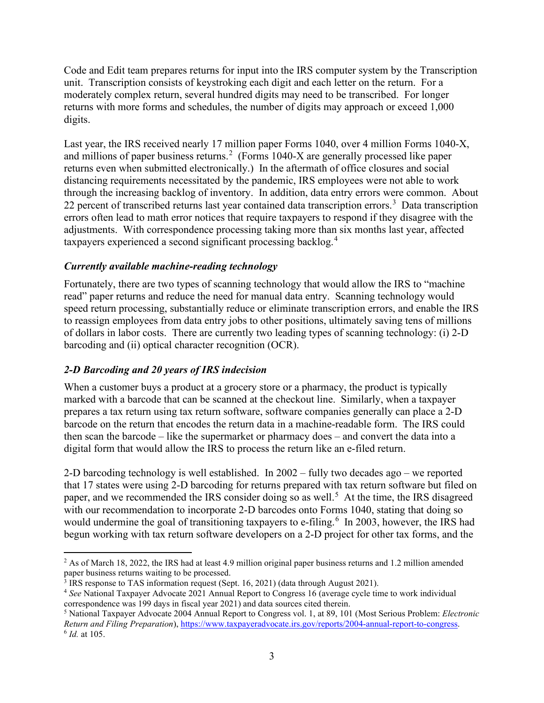Code and Edit team prepares returns for input into the IRS computer system by the Transcription unit. Transcription consists of keystroking each digit and each letter on the return. For a moderately complex return, several hundred digits may need to be transcribed. For longer returns with more forms and schedules, the number of digits may approach or exceed 1,000 digits.

Last year, the IRS received nearly 17 million paper Forms 1040, over 4 million Forms 1040-X, and millions of paper business returns.<sup>[2](#page-2-0)</sup> (Forms 1040-X are generally processed like paper returns even when submitted electronically.) In the aftermath of office closures and social distancing requirements necessitated by the pandemic, IRS employees were not able to work through the increasing backlog of inventory. In addition, data entry errors were common. About 22 percent of transcribed returns last year contained data transcription errors.<sup>[3](#page-2-1)</sup> Data transcription errors often lead to math error notices that require taxpayers to respond if they disagree with the adjustments. With correspondence processing taking more than six months last year, affected taxpayers experienced a second significant processing backlog.[4](#page-2-2)

### *Currently available machine-reading technology*

Fortunately, there are two types of scanning technology that would allow the IRS to "machine read" paper returns and reduce the need for manual data entry. Scanning technology would speed return processing, substantially reduce or eliminate transcription errors, and enable the IRS to reassign employees from data entry jobs to other positions, ultimately saving tens of millions of dollars in labor costs. There are currently two leading types of scanning technology: (i) 2-D barcoding and (ii) optical character recognition (OCR).

### *2-D Barcoding and 20 years of IRS indecision*

When a customer buys a product at a grocery store or a pharmacy, the product is typically marked with a barcode that can be scanned at the checkout line. Similarly, when a taxpayer prepares a tax return using tax return software, software companies generally can place a 2-D barcode on the return that encodes the return data in a machine-readable form. The IRS could then scan the barcode – like the supermarket or pharmacy does – and convert the data into a digital form that would allow the IRS to process the return like an e-filed return.

2-D barcoding technology is well established. In 2002 – fully two decades ago – we reported that 17 states were using 2-D barcoding for returns prepared with tax return software but filed on paper, and we recommended the IRS consider doing so as well.<sup>[5](#page-2-3)</sup> At the time, the IRS disagreed with our recommendation to incorporate 2-D barcodes onto Forms 1040, stating that doing so would undermine the goal of transitioning taxpayers to e-filing.<sup>[6](#page-2-4)</sup> In 2003, however, the IRS had begun working with tax return software developers on a 2-D project for other tax forms, and the

<span id="page-2-0"></span> $^2$  As of March 18, 2022, the IRS had at least 4.9 million original paper business returns and 1.2 million amended paper business returns waiting to be processed.

<span id="page-2-1"></span><sup>3</sup> IRS response to TAS information request (Sept. 16, 2021) (data through August 2021).

<span id="page-2-2"></span><sup>4</sup> *See* National Taxpayer Advocate 2021 Annual Report to Congress 16 (average cycle time to work individual correspondence was 199 days in fiscal year 2021) and data sources cited therein.

<span id="page-2-4"></span><span id="page-2-3"></span><sup>5</sup> National Taxpayer Advocate 2004 Annual Report to Congress vol. 1, at 89, 101 (Most Serious Problem: *Electronic Return and Filing Preparation*), [https://www.taxpayeradvocate.irs.gov/reports/2004-annual-report-to-congress.](https://www.taxpayeradvocate.irs.gov/reports/2004-annual-report-to-congress) <sup>6</sup> *Id.* at 105.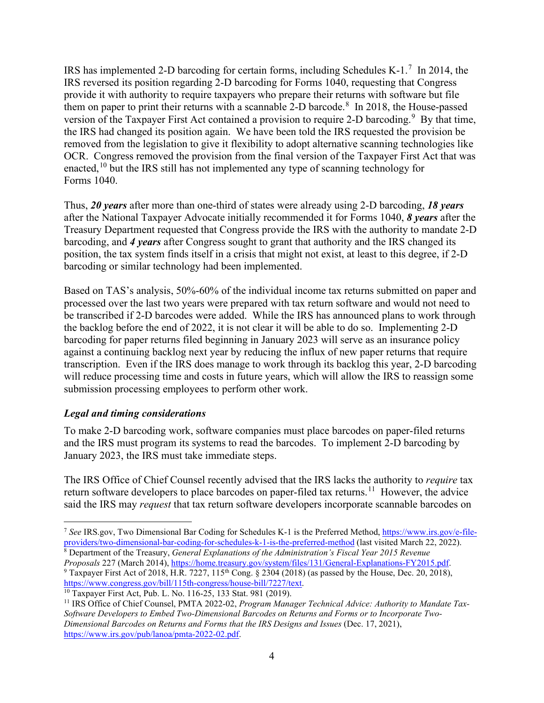IRS has implemented 2-D barcoding for certain forms, including Schedules K-1.<sup>[7](#page-3-0)</sup> In 2014, the IRS reversed its position regarding 2-D barcoding for Forms 1040, requesting that Congress provide it with authority to require taxpayers who prepare their returns with software but file them on paper to print their returns with a scannable 2-D barcode.<sup>[8](#page-3-1)</sup> In 2018, the House-passed version of the Taxpayer First Act contained a provision to require 2-D barcoding.<sup>[9](#page-3-2)</sup> By that time, the IRS had changed its position again. We have been told the IRS requested the provision be removed from the legislation to give it flexibility to adopt alternative scanning technologies like OCR. Congress removed the provision from the final version of the Taxpayer First Act that was enacted,<sup>[10](#page-3-3)</sup> but the IRS still has not implemented any type of scanning technology for Forms 1040.

Thus, *20 years* after more than one-third of states were already using 2-D barcoding, *18 years* after the National Taxpayer Advocate initially recommended it for Forms 1040, *8 years* after the Treasury Department requested that Congress provide the IRS with the authority to mandate 2-D barcoding, and *4 years* after Congress sought to grant that authority and the IRS changed its position, the tax system finds itself in a crisis that might not exist, at least to this degree, if 2-D barcoding or similar technology had been implemented.

Based on TAS's analysis, 50%-60% of the individual income tax returns submitted on paper and processed over the last two years were prepared with tax return software and would not need to be transcribed if 2-D barcodes were added. While the IRS has announced plans to work through the backlog before the end of 2022, it is not clear it will be able to do so. Implementing 2-D barcoding for paper returns filed beginning in January 2023 will serve as an insurance policy against a continuing backlog next year by reducing the influx of new paper returns that require transcription. Even if the IRS does manage to work through its backlog this year, 2-D barcoding will reduce processing time and costs in future years, which will allow the IRS to reassign some submission processing employees to perform other work.

### *Legal and timing considerations*

To make 2-D barcoding work, software companies must place barcodes on paper-filed returns and the IRS must program its systems to read the barcodes. To implement 2-D barcoding by January 2023, the IRS must take immediate steps.

The IRS Office of Chief Counsel recently advised that the IRS lacks the authority to *require* tax return software developers to place barcodes on paper-filed tax returns.<sup>11</sup> However, the advice said the IRS may *request* that tax return software developers incorporate scannable barcodes on

<span id="page-3-2"></span><span id="page-3-1"></span>*Proposals* 227 (March 2014), [https://home.treasury.gov/system/files/131/General-Explanations-FY2015.pdf.](https://home.treasury.gov/system/files/131/General-Explanations-FY2015.pdf) <sup>9</sup> Taxpayer First Act of 2018, H.R. 7227, 115<sup>th</sup> Cong. § 2304 (2018) (as passed by the House, Dec. 20, 2018), https://www.congress.gov/bill/115th-congress/house-bill/7227/text.

<span id="page-3-0"></span><sup>7</sup> *See* IRS.gov, Two Dimensional Bar Coding for Schedules K-1 is the Preferred Method[, https://www.irs.gov/e-file](https://www.irs.gov/e-file-providers/two-dimensional-bar-coding-for-schedules-k-1-is-the-preferred-method)[providers/two-dimensional-bar-coding-for-schedules-k-1-is-the-preferred-method](https://www.irs.gov/e-file-providers/two-dimensional-bar-coding-for-schedules-k-1-is-the-preferred-method) (last visited March 22, 2022). <sup>8</sup> Department of the Treasury, *General Explanations of the Administration's Fiscal Year 2015 Revenue* 

<span id="page-3-3"></span> $10$  Taxpayer First Act, Pub. L. No. 116-25, 133 Stat. 981 (2019).

<span id="page-3-4"></span><sup>11</sup> IRS Office of Chief Counsel, PMTA 2022-02, *Program Manager Technical Advice: Authority to Mandate Tax-Software Developers to Embed Two-Dimensional Barcodes on Returns and Forms or to Incorporate Two-Dimensional Barcodes on Returns and Forms that the IRS Designs and Issues* (Dec. 17, 2021), [https://www.irs.gov/pub/lanoa/pmta-2022-02.pdf.](https://www.irs.gov/pub/lanoa/pmta-2022-02.pdf)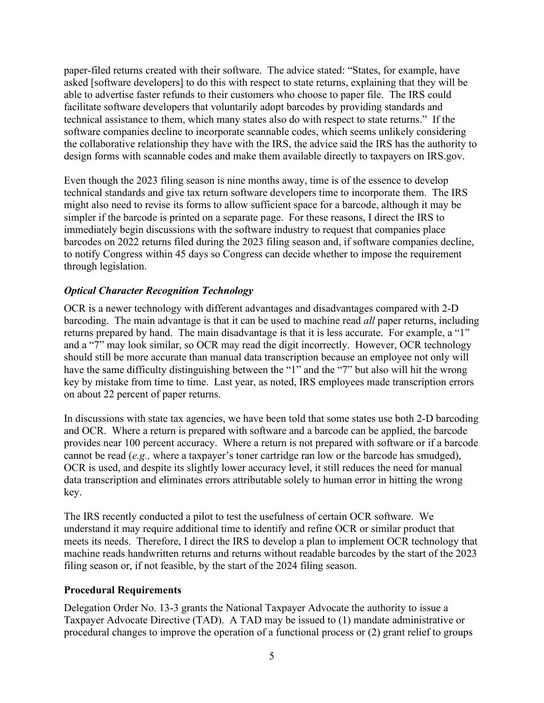paper-filed returns created with their software. The advice stated: "States, for example, have asked [software developers] to do this with respect to state returns, explaining that they will be able to advertise faster refunds to their customers who choose to paper file. The IRS could facilitate software developers that voluntarily adopt barcodes by providing standards and technical assistance to them, which many states also do with respect to state returns." If the software companies decline to incorporate scannable codes, which seems unlikely considering the collaborative relationship they have with the IRS, the advice said the IRS has the authority to design forms with scannable codes and make them available directly to taxpayers on IRS.gov.

Even though the 2023 filing season is nine months away, time is of the essence to develop technical standards and give tax return software developers time to incorporate them. The IRS might also need to revise its forms to allow sufficient space for a barcode, although it may be simpler if the barcode is printed on a separate page. For these reasons, I direct the IRS to immediately begin discussions with the software industry to request that companies place barcodes on 2022 returns filed during the 2023 filing season and, if software companies decline, to notify Congress within 45 days so Congress can decide whether to impose the requirement through legislation.

## *Optical Character Recognition Technology*

OCR is a newer technology with different advantages and disadvantages compared with 2-D barcoding. The main advantage is that it can be used to machine read *all* paper returns, including returns prepared by hand. The main disadvantage is that it is less accurate. For example, a "1" and a "7" may look similar, so OCR may read the digit incorrectly. However, OCR technology should still be more accurate than manual data transcription because an employee not only will have the same difficulty distinguishing between the "1" and the "7" but also will hit the wrong key by mistake from time to time. Last year, as noted, IRS employees made transcription errors on about 22 percent of paper returns.

In discussions with state tax agencies, we have been told that some states use both 2-D barcoding and OCR. Where a return is prepared with software and a barcode can be applied, the barcode provides near 100 percent accuracy. Where a return is not prepared with software or if a barcode cannot be read (*e.g.,* where a taxpayer's toner cartridge ran low or the barcode has smudged), OCR is used, and despite its slightly lower accuracy level, it still reduces the need for manual data transcription and eliminates errors attributable solely to human error in hitting the wrong key.

The IRS recently conducted a pilot to test the usefulness of certain OCR software. We understand it may require additional time to identify and refine OCR or similar product that meets its needs. Therefore, I direct the IRS to develop a plan to implement OCR technology that machine reads handwritten returns and returns without readable barcodes by the start of the 2023 filing season or, if not feasible, by the start of the 2024 filing season.

### **Procedural Requirements**

Delegation Order No. 13-3 grants the National Taxpayer Advocate the authority to issue a Taxpayer Advocate Directive (TAD). A TAD may be issued to (1) mandate administrative or procedural changes to improve the operation of a functional process or (2) grant relief to groups